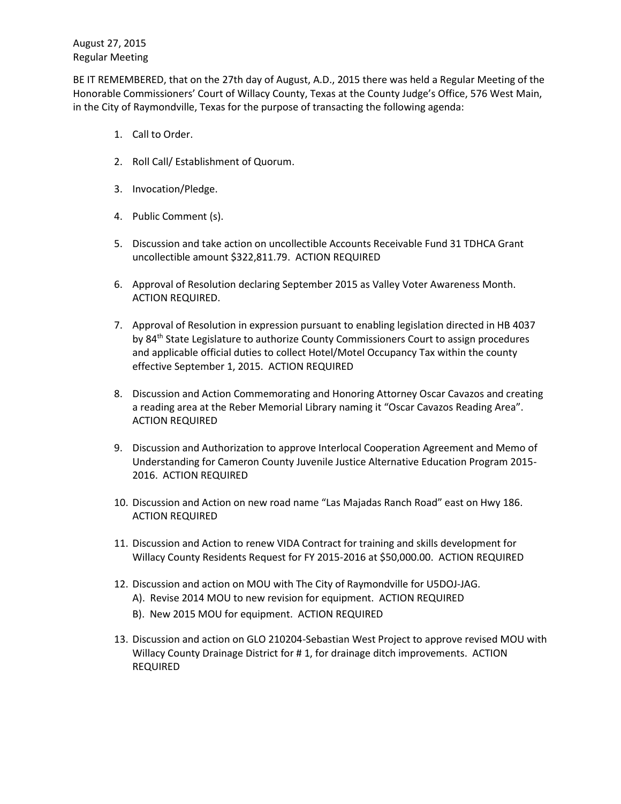BE IT REMEMBERED, that on the 27th day of August, A.D., 2015 there was held a Regular Meeting of the Honorable Commissioners' Court of Willacy County, Texas at the County Judge's Office, 576 West Main, in the City of Raymondville, Texas for the purpose of transacting the following agenda:

- 1. Call to Order.
- 2. Roll Call/ Establishment of Quorum.
- 3. Invocation/Pledge.
- 4. Public Comment (s).
- 5. Discussion and take action on uncollectible Accounts Receivable Fund 31 TDHCA Grant uncollectible amount \$322,811.79. ACTION REQUIRED
- 6. Approval of Resolution declaring September 2015 as Valley Voter Awareness Month. ACTION REQUIRED.
- 7. Approval of Resolution in expression pursuant to enabling legislation directed in HB 4037 by 84<sup>th</sup> State Legislature to authorize County Commissioners Court to assign procedures and applicable official duties to collect Hotel/Motel Occupancy Tax within the county effective September 1, 2015. ACTION REQUIRED
- 8. Discussion and Action Commemorating and Honoring Attorney Oscar Cavazos and creating a reading area at the Reber Memorial Library naming it "Oscar Cavazos Reading Area". ACTION REQUIRED
- 9. Discussion and Authorization to approve Interlocal Cooperation Agreement and Memo of Understanding for Cameron County Juvenile Justice Alternative Education Program 2015- 2016. ACTION REQUIRED
- 10. Discussion and Action on new road name "Las Majadas Ranch Road" east on Hwy 186. ACTION REQUIRED
- 11. Discussion and Action to renew VIDA Contract for training and skills development for Willacy County Residents Request for FY 2015-2016 at \$50,000.00. ACTION REQUIRED
- 12. Discussion and action on MOU with The City of Raymondville for U5DOJ-JAG. A). Revise 2014 MOU to new revision for equipment. ACTION REQUIRED
	-
	- B). New 2015 MOU for equipment. ACTION REQUIRED
- 13. Discussion and action on GLO 210204-Sebastian West Project to approve revised MOU with Willacy County Drainage District for # 1, for drainage ditch improvements. ACTION REQUIRED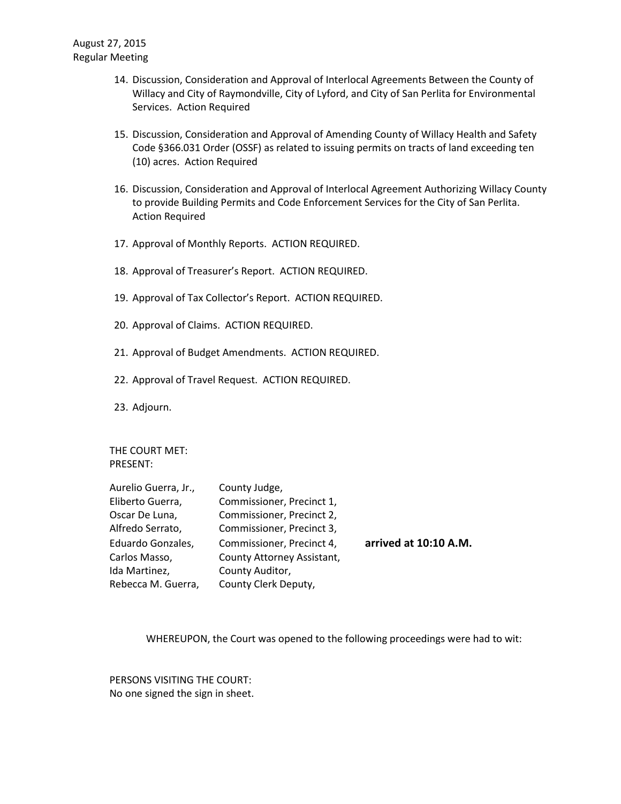- 14. Discussion, Consideration and Approval of Interlocal Agreements Between the County of Willacy and City of Raymondville, City of Lyford, and City of San Perlita for Environmental Services. Action Required
- 15. Discussion, Consideration and Approval of Amending County of Willacy Health and Safety Code §366.031 Order (OSSF) as related to issuing permits on tracts of land exceeding ten (10) acres. Action Required
- 16. Discussion, Consideration and Approval of Interlocal Agreement Authorizing Willacy County to provide Building Permits and Code Enforcement Services for the City of San Perlita. Action Required
- 17. Approval of Monthly Reports. ACTION REQUIRED.
- 18. Approval of Treasurer's Report. ACTION REQUIRED.
- 19. Approval of Tax Collector's Report. ACTION REQUIRED.
- 20. Approval of Claims. ACTION REQUIRED.
- 21. Approval of Budget Amendments. ACTION REQUIRED.
- 22. Approval of Travel Request. ACTION REQUIRED.
- 23. Adjourn.

THE COURT MET: PRESENT:

| Aurelio Guerra, Jr., | County Judge,              |                       |
|----------------------|----------------------------|-----------------------|
| Eliberto Guerra,     | Commissioner, Precinct 1,  |                       |
| Oscar De Luna,       | Commissioner, Precinct 2,  |                       |
| Alfredo Serrato,     | Commissioner, Precinct 3,  |                       |
| Eduardo Gonzales,    | Commissioner, Precinct 4,  | arrived at 10:10 A.M. |
| Carlos Masso,        | County Attorney Assistant, |                       |
| Ida Martinez,        | County Auditor,            |                       |
| Rebecca M. Guerra,   | County Clerk Deputy,       |                       |

WHEREUPON, the Court was opened to the following proceedings were had to wit:

PERSONS VISITING THE COURT: No one signed the sign in sheet.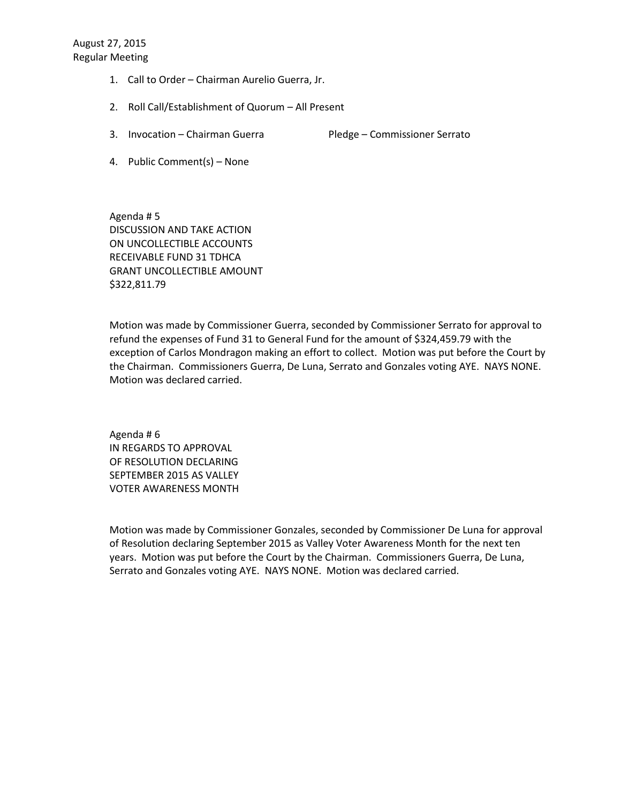- 1. Call to Order Chairman Aurelio Guerra, Jr.
- 2. Roll Call/Establishment of Quorum All Present
- 3. Invocation Chairman Guerra Pledge Commissioner Serrato
- 4. Public Comment(s) None

Agenda # 5 DISCUSSION AND TAKE ACTION ON UNCOLLECTIBLE ACCOUNTS RECEIVABLE FUND 31 TDHCA GRANT UNCOLLECTIBLE AMOUNT \$322,811.79

Motion was made by Commissioner Guerra, seconded by Commissioner Serrato for approval to refund the expenses of Fund 31 to General Fund for the amount of \$324,459.79 with the exception of Carlos Mondragon making an effort to collect. Motion was put before the Court by the Chairman. Commissioners Guerra, De Luna, Serrato and Gonzales voting AYE. NAYS NONE. Motion was declared carried.

Agenda # 6 IN REGARDS TO APPROVAL OF RESOLUTION DECLARING SEPTEMBER 2015 AS VALLEY VOTER AWARENESS MONTH

Motion was made by Commissioner Gonzales, seconded by Commissioner De Luna for approval of Resolution declaring September 2015 as Valley Voter Awareness Month for the next ten years. Motion was put before the Court by the Chairman. Commissioners Guerra, De Luna, Serrato and Gonzales voting AYE. NAYS NONE. Motion was declared carried.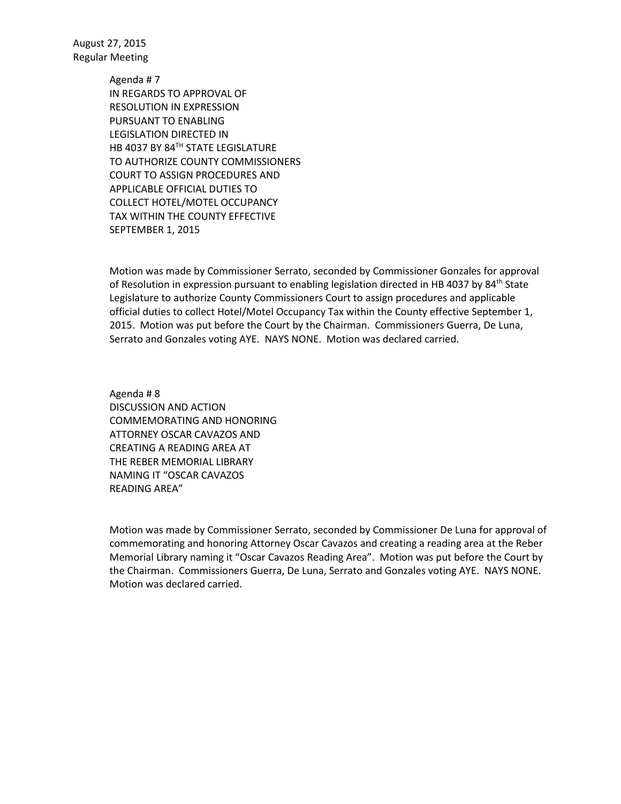> Agenda # 7 IN REGARDS TO APPROVAL OF RESOLUTION IN EXPRESSION PURSUANT TO ENABLING LEGISLATION DIRECTED IN HB 4037 BY 84TH STATE LEGISLATURE TO AUTHORIZE COUNTY COMMISSIONERS COURT TO ASSIGN PROCEDURES AND APPLICABLE OFFICIAL DUTIES TO COLLECT HOTEL/MOTEL OCCUPANCY TAX WITHIN THE COUNTY EFFECTIVE SEPTEMBER 1, 2015

Motion was made by Commissioner Serrato, seconded by Commissioner Gonzales for approval of Resolution in expression pursuant to enabling legislation directed in HB 4037 by 84<sup>th</sup> State Legislature to authorize County Commissioners Court to assign procedures and applicable official duties to collect Hotel/Motel Occupancy Tax within the County effective September 1, 2015. Motion was put before the Court by the Chairman. Commissioners Guerra, De Luna, Serrato and Gonzales voting AYE. NAYS NONE. Motion was declared carried.

Agenda # 8 DISCUSSION AND ACTION COMMEMORATING AND HONORING ATTORNEY OSCAR CAVAZOS AND CREATING A READING AREA AT THE REBER MEMORIAL LIBRARY NAMING IT "OSCAR CAVAZOS READING AREA"

Motion was made by Commissioner Serrato, seconded by Commissioner De Luna for approval of commemorating and honoring Attorney Oscar Cavazos and creating a reading area at the Reber Memorial Library naming it "Oscar Cavazos Reading Area". Motion was put before the Court by the Chairman. Commissioners Guerra, De Luna, Serrato and Gonzales voting AYE. NAYS NONE. Motion was declared carried.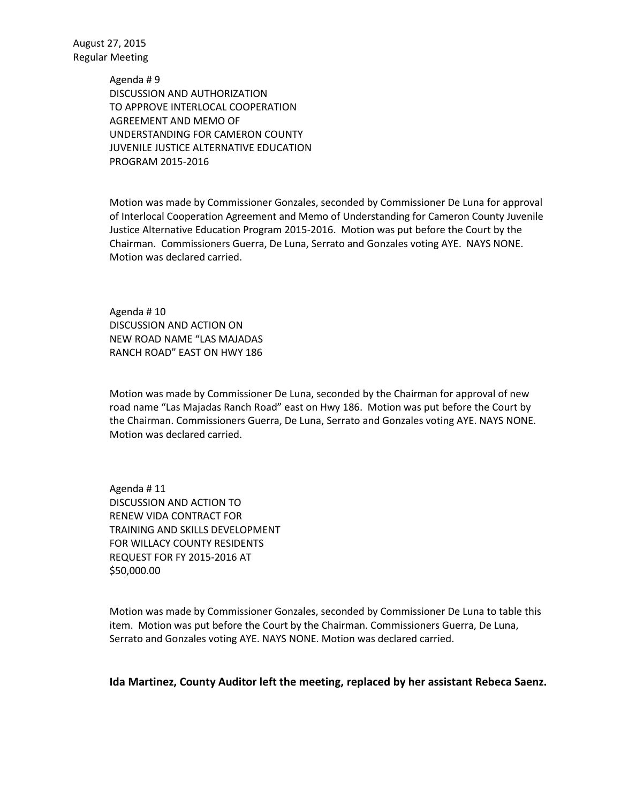> Agenda # 9 DISCUSSION AND AUTHORIZATION TO APPROVE INTERLOCAL COOPERATION AGREEMENT AND MEMO OF UNDERSTANDING FOR CAMERON COUNTY JUVENILE JUSTICE ALTERNATIVE EDUCATION PROGRAM 2015-2016

Motion was made by Commissioner Gonzales, seconded by Commissioner De Luna for approval of Interlocal Cooperation Agreement and Memo of Understanding for Cameron County Juvenile Justice Alternative Education Program 2015-2016. Motion was put before the Court by the Chairman. Commissioners Guerra, De Luna, Serrato and Gonzales voting AYE. NAYS NONE. Motion was declared carried.

Agenda # 10 DISCUSSION AND ACTION ON NEW ROAD NAME "LAS MAJADAS RANCH ROAD" EAST ON HWY 186

Motion was made by Commissioner De Luna, seconded by the Chairman for approval of new road name "Las Majadas Ranch Road" east on Hwy 186. Motion was put before the Court by the Chairman. Commissioners Guerra, De Luna, Serrato and Gonzales voting AYE. NAYS NONE. Motion was declared carried.

Agenda # 11 DISCUSSION AND ACTION TO RENEW VIDA CONTRACT FOR TRAINING AND SKILLS DEVELOPMENT FOR WILLACY COUNTY RESIDENTS REQUEST FOR FY 2015-2016 AT \$50,000.00

Motion was made by Commissioner Gonzales, seconded by Commissioner De Luna to table this item. Motion was put before the Court by the Chairman. Commissioners Guerra, De Luna, Serrato and Gonzales voting AYE. NAYS NONE. Motion was declared carried.

**Ida Martinez, County Auditor left the meeting, replaced by her assistant Rebeca Saenz.**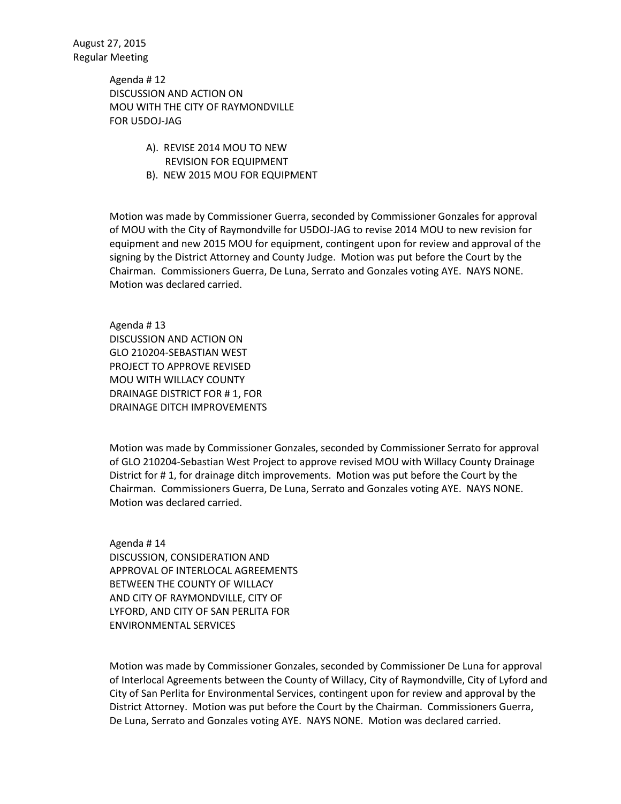> Agenda # 12 DISCUSSION AND ACTION ON MOU WITH THE CITY OF RAYMONDVILLE FOR U5DOJ-JAG

- A). REVISE 2014 MOU TO NEW REVISION FOR EQUIPMENT
- B). NEW 2015 MOU FOR EQUIPMENT

Motion was made by Commissioner Guerra, seconded by Commissioner Gonzales for approval of MOU with the City of Raymondville for U5DOJ-JAG to revise 2014 MOU to new revision for equipment and new 2015 MOU for equipment, contingent upon for review and approval of the signing by the District Attorney and County Judge. Motion was put before the Court by the Chairman. Commissioners Guerra, De Luna, Serrato and Gonzales voting AYE. NAYS NONE. Motion was declared carried.

Agenda # 13 DISCUSSION AND ACTION ON GLO 210204-SEBASTIAN WEST PROJECT TO APPROVE REVISED MOU WITH WILLACY COUNTY DRAINAGE DISTRICT FOR # 1, FOR DRAINAGE DITCH IMPROVEMENTS

Motion was made by Commissioner Gonzales, seconded by Commissioner Serrato for approval of GLO 210204-Sebastian West Project to approve revised MOU with Willacy County Drainage District for # 1, for drainage ditch improvements. Motion was put before the Court by the Chairman. Commissioners Guerra, De Luna, Serrato and Gonzales voting AYE. NAYS NONE. Motion was declared carried.

Agenda # 14 DISCUSSION, CONSIDERATION AND APPROVAL OF INTERLOCAL AGREEMENTS BETWEEN THE COUNTY OF WILLACY AND CITY OF RAYMONDVILLE, CITY OF LYFORD, AND CITY OF SAN PERLITA FOR ENVIRONMENTAL SERVICES

Motion was made by Commissioner Gonzales, seconded by Commissioner De Luna for approval of Interlocal Agreements between the County of Willacy, City of Raymondville, City of Lyford and City of San Perlita for Environmental Services, contingent upon for review and approval by the District Attorney. Motion was put before the Court by the Chairman. Commissioners Guerra, De Luna, Serrato and Gonzales voting AYE. NAYS NONE. Motion was declared carried.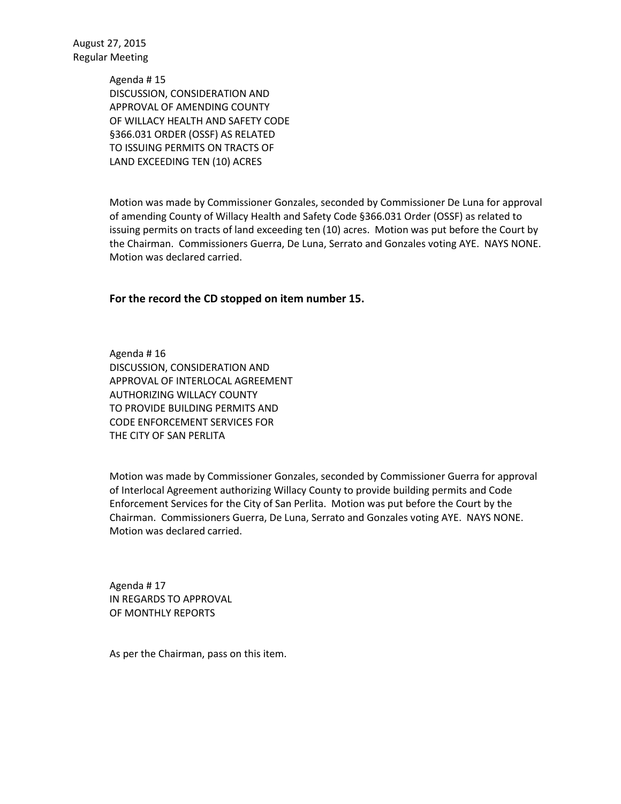> Agenda # 15 DISCUSSION, CONSIDERATION AND APPROVAL OF AMENDING COUNTY OF WILLACY HEALTH AND SAFETY CODE §366.031 ORDER (OSSF) AS RELATED TO ISSUING PERMITS ON TRACTS OF LAND EXCEEDING TEN (10) ACRES

Motion was made by Commissioner Gonzales, seconded by Commissioner De Luna for approval of amending County of Willacy Health and Safety Code §366.031 Order (OSSF) as related to issuing permits on tracts of land exceeding ten (10) acres. Motion was put before the Court by the Chairman. Commissioners Guerra, De Luna, Serrato and Gonzales voting AYE. NAYS NONE. Motion was declared carried.

## **For the record the CD stopped on item number 15.**

Agenda # 16 DISCUSSION, CONSIDERATION AND APPROVAL OF INTERLOCAL AGREEMENT AUTHORIZING WILLACY COUNTY TO PROVIDE BUILDING PERMITS AND CODE ENFORCEMENT SERVICES FOR THE CITY OF SAN PERLITA

Motion was made by Commissioner Gonzales, seconded by Commissioner Guerra for approval of Interlocal Agreement authorizing Willacy County to provide building permits and Code Enforcement Services for the City of San Perlita. Motion was put before the Court by the Chairman. Commissioners Guerra, De Luna, Serrato and Gonzales voting AYE. NAYS NONE. Motion was declared carried.

Agenda # 17 IN REGARDS TO APPROVAL OF MONTHLY REPORTS

As per the Chairman, pass on this item.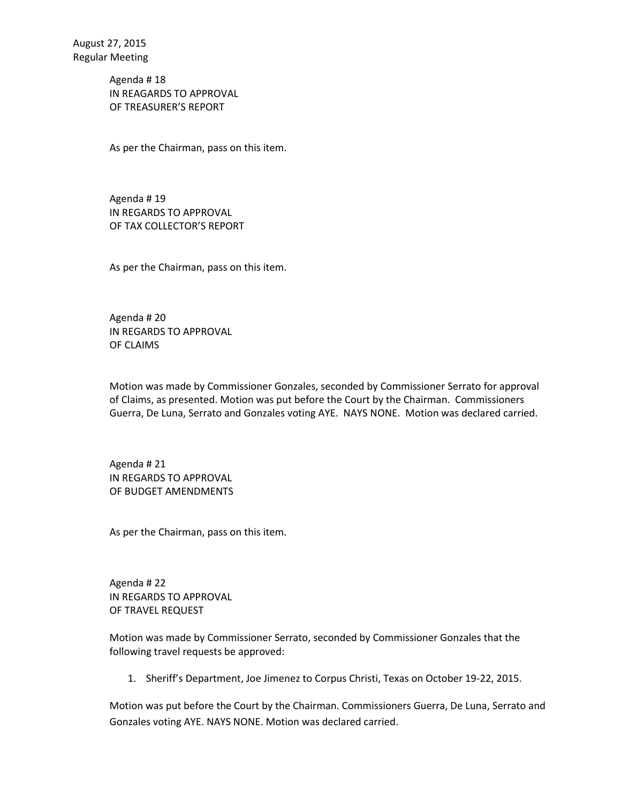Agenda # 18 IN REAGARDS TO APPROVAL OF TREASURER'S REPORT

As per the Chairman, pass on this item.

Agenda # 19 IN REGARDS TO APPROVAL OF TAX COLLECTOR'S REPORT

As per the Chairman, pass on this item.

Agenda # 20 IN REGARDS TO APPROVAL OF CLAIMS

Motion was made by Commissioner Gonzales, seconded by Commissioner Serrato for approval of Claims, as presented. Motion was put before the Court by the Chairman. Commissioners Guerra, De Luna, Serrato and Gonzales voting AYE. NAYS NONE. Motion was declared carried.

Agenda # 21 IN REGARDS TO APPROVAL OF BUDGET AMENDMENTS

As per the Chairman, pass on this item.

Agenda # 22 IN REGARDS TO APPROVAL OF TRAVEL REQUEST

Motion was made by Commissioner Serrato, seconded by Commissioner Gonzales that the following travel requests be approved:

1. Sheriff's Department, Joe Jimenez to Corpus Christi, Texas on October 19-22, 2015.

Motion was put before the Court by the Chairman. Commissioners Guerra, De Luna, Serrato and Gonzales voting AYE. NAYS NONE. Motion was declared carried.